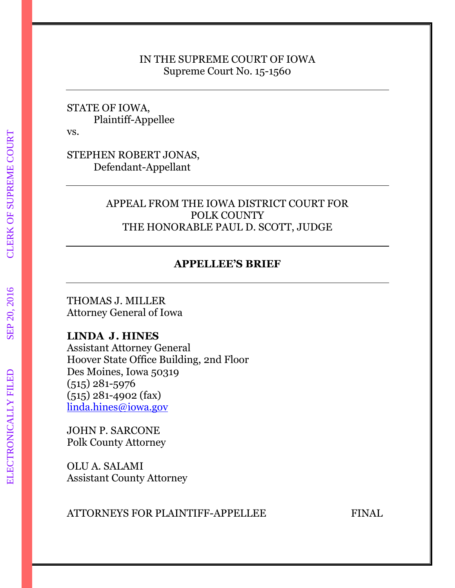### IN THE SUPREME COURT OF IOWA Supreme Court No. 15-1560

STATE OF IOWA, Plaintiff-Appellee

vs.

STEPHEN ROBERT JONAS, Defendant-Appellant

### APPEAL FROM THE IOWA DISTRICT COURT FOR POLK COUNTY THE HONORABLE PAUL D. SCOTT, JUDGE

### **APPELLEE'S BRIEF**

THOMAS J. MILLER Attorney General of Iowa

### **LINDA J. HINES**

Assistant Attorney General Hoover State Office Building, 2nd Floor Des Moines, Iowa 50319 (515) 281-5976 (515) 281-4902 (fax) [linda.hines@iowa.gov](mailto:linda.hines@iowa.gov)

JOHN P. SARCONE Polk County Attorney

OLU A. SALAMI Assistant County Attorney

ATTORNEYS FOR PLAINTIFF-APPELLEE FINAL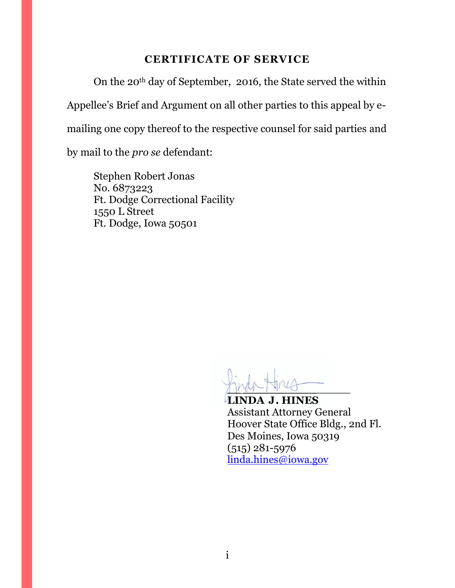# **CERTIFICATE OF SERVICE**

<span id="page-1-0"></span>On the 20th day of September, 2016, the State served the within Appellee's Brief and Argument on all other parties to this appeal by emailing one copy thereof to the respective counsel for said parties and by mail to the *pro se* defendant:

Stephen Robert Jonas No. 6873223 Ft. Dodge Correctional Facility 1550 L Street Ft. Dodge, Iowa 50501

 $\frac{1}{2}$ 

**LINDA J. HINES** Assistant Attorney General Hoover State Office Bldg., 2nd Fl. Des Moines, Iowa 50319 (515) 281-5976 [linda.hines@iowa.gov](mailto:linda.hines@iowa.gov)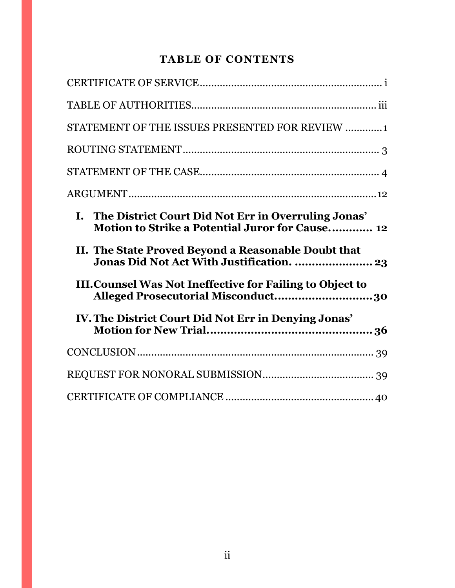# **TABLE OF CONTENTS**

| STATEMENT OF THE ISSUES PRESENTED FOR REVIEW 1                                                                   |
|------------------------------------------------------------------------------------------------------------------|
|                                                                                                                  |
|                                                                                                                  |
|                                                                                                                  |
| I. The District Court Did Not Err in Overruling Jonas'<br><b>Motion to Strike a Potential Juror for Cause 12</b> |
|                                                                                                                  |
| II. The State Proved Beyond a Reasonable Doubt that                                                              |
| <b>III. Counsel Was Not Ineffective for Failing to Object to</b><br>Alleged Prosecutorial Misconduct30           |
| IV. The District Court Did Not Err in Denying Jonas'                                                             |
|                                                                                                                  |
|                                                                                                                  |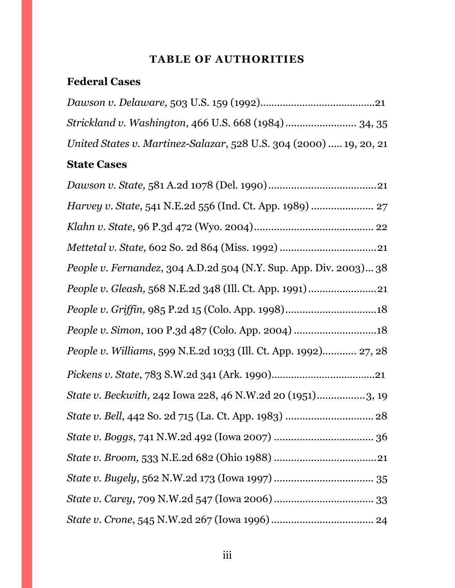# **TABLE OF AUTHORITIES**

# <span id="page-3-0"></span>**Federal Cases**

| United States v. Martinez-Salazar, 528 U.S. 304 (2000)  19, 20, 21 |  |
|--------------------------------------------------------------------|--|

# **State Cases**

| People v. Fernandez, 304 A.D.2d 504 (N.Y. Sup. App. Div. 2003) 38 |
|-------------------------------------------------------------------|
|                                                                   |
|                                                                   |
| People v. Simon, 100 P.3d 487 (Colo. App. 2004) 18                |
| People v. Williams, 599 N.E.2d 1033 (Ill. Ct. App. 1992) 27, 28   |
|                                                                   |
| State v. Beckwith, 242 Iowa 228, 46 N.W.2d 20 (1951)3, 19         |
|                                                                   |
|                                                                   |
|                                                                   |
|                                                                   |
|                                                                   |
|                                                                   |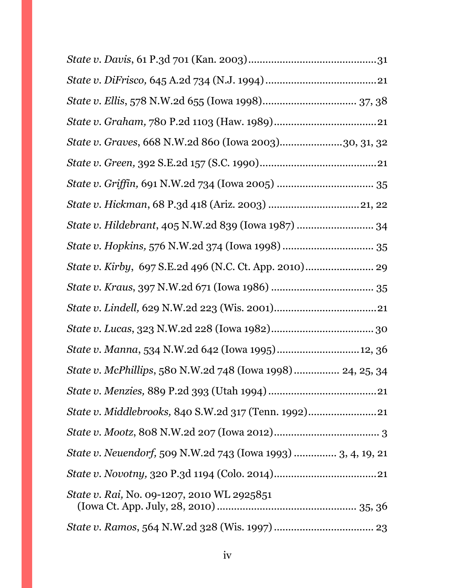| State v. Graves, 668 N.W.2d 860 (Iowa 2003)30, 31, 32        |
|--------------------------------------------------------------|
|                                                              |
|                                                              |
|                                                              |
| State v. Hildebrant, 405 N.W.2d 839 (Iowa 1987)  34          |
|                                                              |
|                                                              |
|                                                              |
|                                                              |
|                                                              |
| State v. Manna, 534 N.W.2d 642 (Iowa 1995) 12, 36            |
| State v. McPhillips, 580 N.W.2d 748 (Iowa 1998) 24, 25, 34   |
|                                                              |
| State v. Middlebrooks, 840 S.W.2d 317 (Tenn. 1992)           |
|                                                              |
| State v. Neuendorf, 509 N.W.2d 743 (Iowa 1993)  3, 4, 19, 21 |
|                                                              |
| State v. Rai, No. 09-1207, 2010 WL 2925851                   |
|                                                              |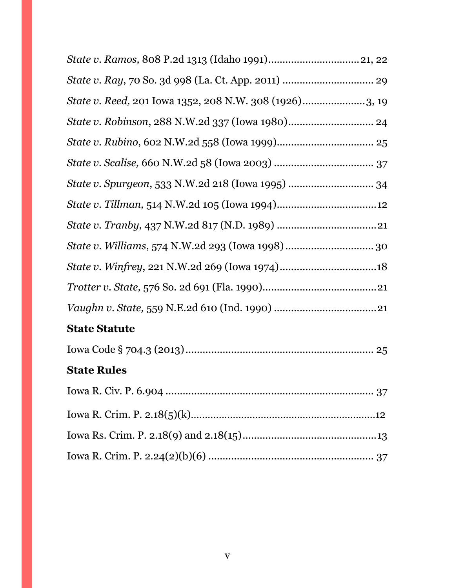| State v. Reed, 201 Iowa 1352, 208 N.W. 308 (1926)3, 19 |
|--------------------------------------------------------|
|                                                        |
|                                                        |
|                                                        |
|                                                        |
|                                                        |
|                                                        |
|                                                        |
|                                                        |
|                                                        |
|                                                        |
| <b>State Statute</b>                                   |
|                                                        |
| <b>State Rules</b>                                     |
|                                                        |
|                                                        |
|                                                        |
|                                                        |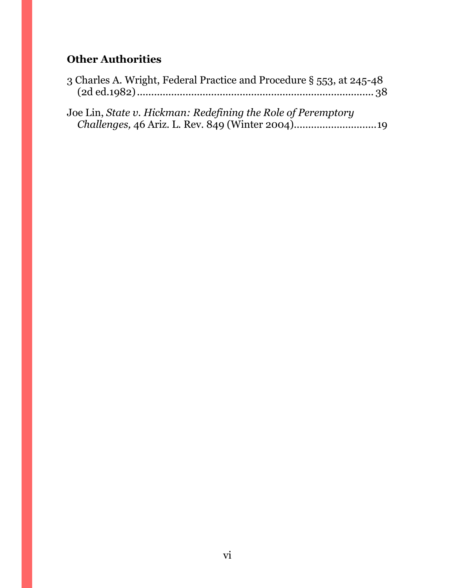# **Other Authorities**

|  |  | 3 Charles A. Wright, Federal Practice and Procedure § 553, at 245-48 |  |
|--|--|----------------------------------------------------------------------|--|
|  |  |                                                                      |  |

| Joe Lin, State v. Hickman: Redefining the Role of Peremptory |  |
|--------------------------------------------------------------|--|
|                                                              |  |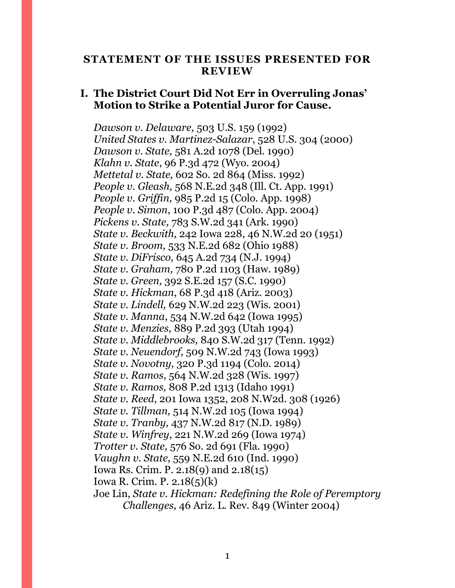#### <span id="page-7-0"></span>**STATEMENT OF THE ISSUES PRESENTED FOR REVIEW**

### **I. The District Court Did Not Err in Overruling Jonas' Motion to Strike a Potential Juror for Cause.**

*Dawson v. Delaware,* 503 U.S. 159 (1992) *United States v. Martinez-Salazar*, 528 U.S. 304 (2000) *Dawson v. State,* 581 A.2d 1078 (Del. 1990) *Klahn v. State*, 96 P.3d 472 (Wyo. 2004) *Mettetal v. State,* 602 So. 2d 864 (Miss. 1992) *People v. Gleash,* 568 N.E.2d 348 (Ill. Ct. App. 1991) *People v. Griffin,* 985 P.2d 15 (Colo. App. 1998) *People v. Simon*, 100 P.3d 487 (Colo. App. 2004) *Pickens v. State,* 783 S.W.2d 341 (Ark. 1990) *State v. Beckwith,* 242 Iowa 228, 46 N.W.2d 20 (1951) *State v. Broom,* 533 N.E.2d 682 (Ohio 1988) *State v. DiFrisco,* 645 A.2d 734 (N.J. 1994) *State v. Graham,* 780 P.2d 1103 (Haw. 1989) *State v. Green,* 392 S.E.2d 157 (S.C. 1990) *State v. Hickman*, 68 P.3d 418 (Ariz. 2003) *State v. Lindell,* 629 N.W.2d 223 (Wis. 2001) *State v. Manna*, 534 N.W.2d 642 (Iowa 1995) *State v. Menzies,* 889 P.2d 393 (Utah 1994) *State v. Middlebrooks,* 840 S.W.2d 317 (Tenn. 1992) *State v. Neuendorf,* 509 N.W.2d 743 (Iowa 1993) *State v. Novotny,* 320 P.3d 1194 (Colo. 2014) *State v. Ramos*, 564 N.W.2d 328 (Wis. 1997) *State v. Ramos,* 808 P.2d 1313 (Idaho 1991) *State v. Reed*, 201 Iowa 1352, 208 N.W2d. 308 (1926) *State v. Tillman,* 514 N.W.2d 105 (Iowa 1994) *State v. Tranby,* 437 N.W.2d 817 (N.D. 1989) *State v. Winfrey*, 221 N.W.2d 269 (Iowa 1974) *Trotter v. State,* 576 So. 2d 691 (Fla. 1990) *Vaughn v. State,* 559 N.E.2d 610 (Ind. 1990) Iowa Rs. Crim. P. 2.18(9) and 2.18(15) Iowa R. Crim. P. 2.18(5)(k) Joe Lin, *State v. Hickman: Redefining the Role of Peremptory Challenges,* 46 Ariz. L. Rev. 849 (Winter 2004)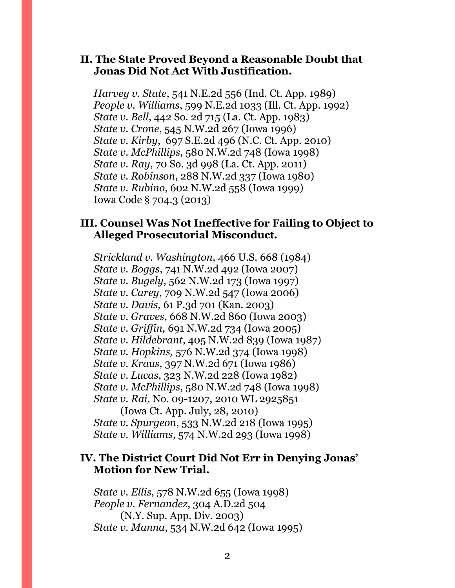### **II. The State Proved Beyond a Reasonable Doubt that Jonas Did Not Act With Justification.**

*Harvey v. State*, 541 N.E.2d 556 (Ind. Ct. App. 1989) *People v. Williams*, 599 N.E.2d 1033 (Ill. Ct. App. 1992) *State v. Bell*, 442 So. 2d 715 (La. Ct. App. 1983) *State v. Crone*, 545 N.W.2d 267 (Iowa 1996) *State v. Kirby*, 697 S.E.2d 496 (N.C. Ct. App. 2010) *State v. McPhillips*, 580 N.W.2d 748 (Iowa 1998) *State v. Ray*, 70 So. 3d 998 (La. Ct. App. 2011) *State v. Robinson*, 288 N.W.2d 337 (Iowa 1980) *State v. Rubino*, 602 N.W.2d 558 (Iowa 1999) Iowa Code § 704.3 (2013)

### **III. Counsel Was Not Ineffective for Failing to Object to Alleged Prosecutorial Misconduct.**

*Strickland v. Washington*, 466 U.S. 668 (1984) *State v. Boggs*, 741 N.W.2d 492 (Iowa 2007) *State v. Bugely*, 562 N.W.2d 173 (Iowa 1997) *State v. Carey*, 709 N.W.2d 547 (Iowa 2006) *State v. Davis*, 61 P.3d 701 (Kan. 2003) *State v. Graves*, 668 N.W.2d 860 (Iowa 2003) *State v. Griffin,* 691 N.W.2d 734 (Iowa 2005) *State v. Hildebrant*, 405 N.W.2d 839 (Iowa 1987) *State v. Hopkins,* 576 N.W.2d 374 (Iowa 1998) *State v. Kraus*, 397 N.W.2d 671 (Iowa 1986) *State v. Lucas*, 323 N.W.2d 228 (Iowa 1982) *State v. McPhillips*, 580 N.W.2d 748 (Iowa 1998) *State v. Rai, No. 09-1207, 2010 WL 2925851* (Iowa Ct. App. July, 28, 2010)

*State v. Spurgeon*, 533 N.W.2d 218 (Iowa 1995) *State v. Williams*, 574 N.W.2d 293 (Iowa 1998)

### **IV. The District Court Did Not Err in Denying Jonas' Motion for New Trial.**

*State v. Ellis*, 578 N.W.2d 655 (Iowa 1998) *People v. Fernandez*, 304 A.D.2d 504 (N.Y. Sup. App. Div. 2003) *State v. Manna*, 534 N.W.2d 642 (Iowa 1995)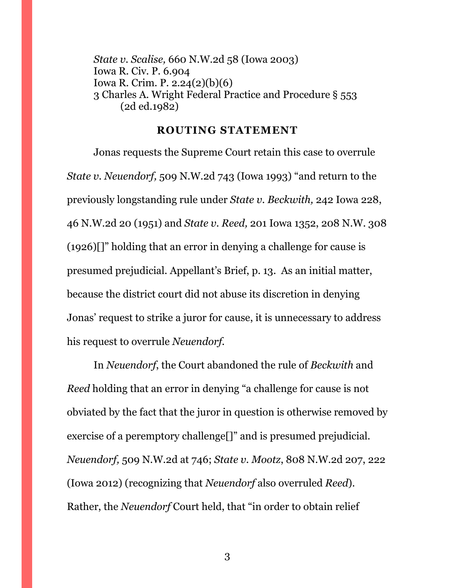*State v. Scalise,* 660 N.W.2d 58 (Iowa 2003) Iowa R. Civ. P. 6.904 Iowa R. Crim. P. 2.24(2)(b)(6) 3 Charles A. Wright Federal Practice and Procedure § 553 (2d ed.1982)

#### **ROUTING STATEMENT**

<span id="page-9-0"></span>Jonas requests the Supreme Court retain this case to overrule *State v. Neuendorf,* 509 N.W.2d 743 (Iowa 1993) "and return to the previously longstanding rule under *State v. Beckwith,* 242 Iowa 228, 46 N.W.2d 20 (1951) and *State v. Reed,* 201 Iowa 1352, 208 N.W. 308 (1926)[]" holding that an error in denying a challenge for cause is presumed prejudicial. Appellant's Brief, p. 13. As an initial matter, because the district court did not abuse its discretion in denying Jonas' request to strike a juror for cause, it is unnecessary to address his request to overrule *Neuendorf.* 

In *Neuendorf*, the Court abandoned the rule of *Beckwith* and *Reed* holding that an error in denying "a challenge for cause is not obviated by the fact that the juror in question is otherwise removed by exercise of a peremptory challenge[]" and is presumed prejudicial. *Neuendorf,* 509 N.W.2d at 746; *State v. Mootz*, 808 N.W.2d 207, 222 (Iowa 2012) (recognizing that *Neuendorf* also overruled *Reed*). Rather, the *Neuendorf* Court held, that "in order to obtain relief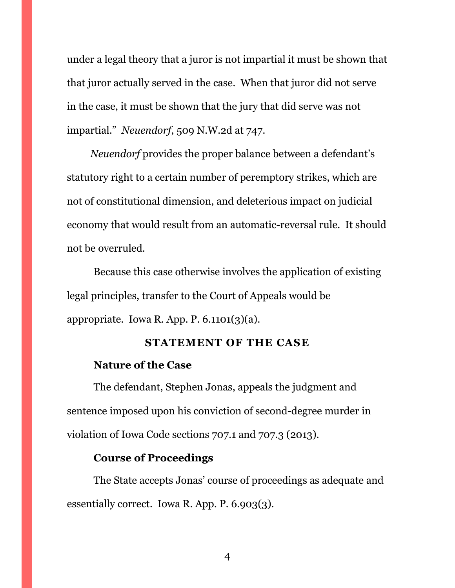under a legal theory that a juror is not impartial it must be shown that that juror actually served in the case. When that juror did not serve in the case, it must be shown that the jury that did serve was not impartial." *Neuendorf*, 509 N.W.2d at 747.

*Neuendorf* provides the proper balance between a defendant's statutory right to a certain number of peremptory strikes, which are not of constitutional dimension, and deleterious impact on judicial economy that would result from an automatic-reversal rule. It should not be overruled.

Because this case otherwise involves the application of existing legal principles, transfer to the Court of Appeals would be appropriate. Iowa R. App. P.  $6.1101(3)(a)$ .

#### **STATEMENT OF THE CASE**

### <span id="page-10-0"></span>**Nature of the Case**

The defendant, Stephen Jonas, appeals the judgment and sentence imposed upon his conviction of second-degree murder in violation of Iowa Code sections 707.1 and 707.3 (2013).

### **Course of Proceedings**

The State accepts Jonas' course of proceedings as adequate and essentially correct. Iowa R. App. P. 6.903(3).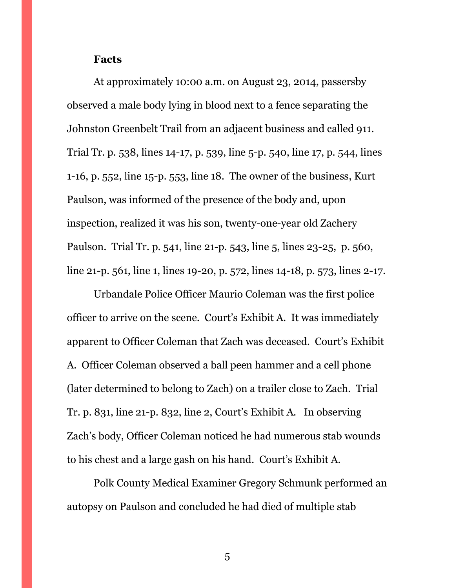#### **Facts**

At approximately 10:00 a.m. on August 23, 2014, passersby observed a male body lying in blood next to a fence separating the Johnston Greenbelt Trail from an adjacent business and called 911. Trial Tr. p. 538, lines 14-17, p. 539, line 5-p. 540, line 17, p. 544, lines 1-16, p. 552, line 15-p. 553, line 18. The owner of the business, Kurt Paulson, was informed of the presence of the body and, upon inspection, realized it was his son, twenty-one-year old Zachery Paulson. Trial Tr. p. 541, line 21-p. 543, line 5, lines 23-25, p. 560, line 21-p. 561, line 1, lines 19-20, p. 572, lines 14-18, p. 573, lines 2-17.

Urbandale Police Officer Maurio Coleman was the first police officer to arrive on the scene. Court's Exhibit A. It was immediately apparent to Officer Coleman that Zach was deceased. Court's Exhibit A. Officer Coleman observed a ball peen hammer and a cell phone (later determined to belong to Zach) on a trailer close to Zach. Trial Tr. p. 831, line 21-p. 832, line 2, Court's Exhibit A. In observing Zach's body, Officer Coleman noticed he had numerous stab wounds to his chest and a large gash on his hand. Court's Exhibit A.

Polk County Medical Examiner Gregory Schmunk performed an autopsy on Paulson and concluded he had died of multiple stab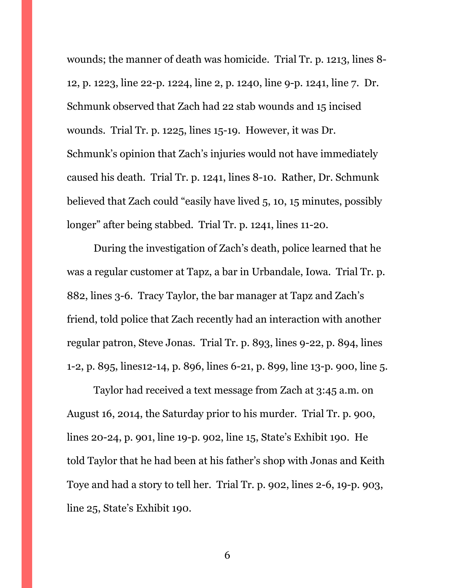wounds; the manner of death was homicide. Trial Tr. p. 1213, lines 8- 12, p. 1223, line 22-p. 1224, line 2, p. 1240, line 9-p. 1241, line 7. Dr. Schmunk observed that Zach had 22 stab wounds and 15 incised wounds. Trial Tr. p. 1225, lines 15-19. However, it was Dr. Schmunk's opinion that Zach's injuries would not have immediately caused his death. Trial Tr. p. 1241, lines 8-10. Rather, Dr. Schmunk believed that Zach could "easily have lived 5, 10, 15 minutes, possibly longer" after being stabbed. Trial Tr. p. 1241, lines 11-20.

During the investigation of Zach's death, police learned that he was a regular customer at Tapz, a bar in Urbandale, Iowa. Trial Tr. p. 882, lines 3-6. Tracy Taylor, the bar manager at Tapz and Zach's friend, told police that Zach recently had an interaction with another regular patron, Steve Jonas. Trial Tr. p. 893, lines 9-22, p. 894, lines 1-2, p. 895, lines12-14, p. 896, lines 6-21, p. 899, line 13-p. 900, line 5.

Taylor had received a text message from Zach at 3:45 a.m. on August 16, 2014, the Saturday prior to his murder. Trial Tr. p. 900, lines 20-24, p. 901, line 19-p. 902, line 15, State's Exhibit 190. He told Taylor that he had been at his father's shop with Jonas and Keith Toye and had a story to tell her. Trial Tr. p. 902, lines 2-6, 19-p. 903, line 25, State's Exhibit 190.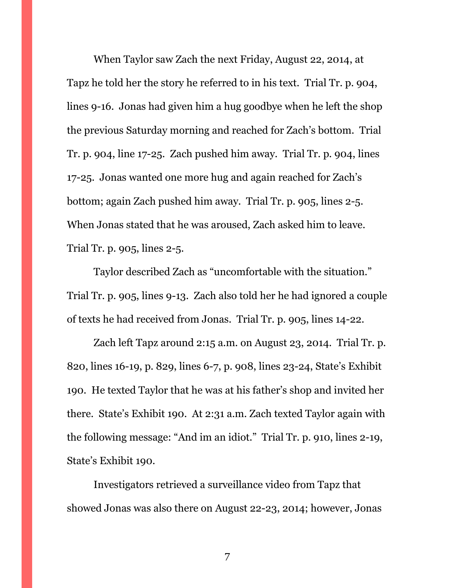When Taylor saw Zach the next Friday, August 22, 2014, at Tapz he told her the story he referred to in his text. Trial Tr. p. 904, lines 9-16. Jonas had given him a hug goodbye when he left the shop the previous Saturday morning and reached for Zach's bottom. Trial Tr. p. 904, line 17-25. Zach pushed him away. Trial Tr. p. 904, lines 17-25. Jonas wanted one more hug and again reached for Zach's bottom; again Zach pushed him away. Trial Tr. p. 905, lines 2-5. When Jonas stated that he was aroused, Zach asked him to leave. Trial Tr. p. 905, lines 2-5.

Taylor described Zach as "uncomfortable with the situation." Trial Tr. p. 905, lines 9-13. Zach also told her he had ignored a couple of texts he had received from Jonas. Trial Tr. p. 905, lines 14-22.

Zach left Tapz around 2:15 a.m. on August 23, 2014. Trial Tr. p. 820, lines 16-19, p. 829, lines 6-7, p. 908, lines 23-24, State's Exhibit 190. He texted Taylor that he was at his father's shop and invited her there. State's Exhibit 190. At 2:31 a.m. Zach texted Taylor again with the following message: "And im an idiot." Trial Tr. p. 910, lines 2-19, State's Exhibit 190.

Investigators retrieved a surveillance video from Tapz that showed Jonas was also there on August 22-23, 2014; however, Jonas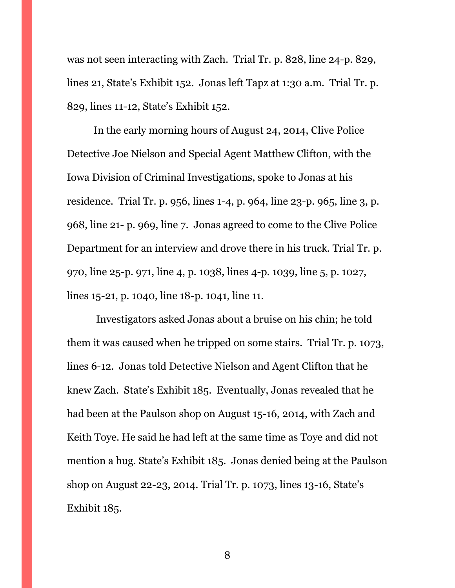was not seen interacting with Zach. Trial Tr. p. 828, line 24-p. 829, lines 21, State's Exhibit 152. Jonas left Tapz at 1:30 a.m. Trial Tr. p. 829, lines 11-12, State's Exhibit 152.

In the early morning hours of August 24, 2014, Clive Police Detective Joe Nielson and Special Agent Matthew Clifton, with the Iowa Division of Criminal Investigations, spoke to Jonas at his residence. Trial Tr. p. 956, lines 1-4, p. 964, line 23-p. 965, line 3, p. 968, line 21- p. 969, line 7. Jonas agreed to come to the Clive Police Department for an interview and drove there in his truck. Trial Tr. p. 970, line 25-p. 971, line 4, p. 1038, lines 4-p. 1039, line 5, p. 1027, lines 15-21, p. 1040, line 18-p. 1041, line 11.

Investigators asked Jonas about a bruise on his chin; he told them it was caused when he tripped on some stairs. Trial Tr. p. 1073, lines 6-12. Jonas told Detective Nielson and Agent Clifton that he knew Zach. State's Exhibit 185. Eventually, Jonas revealed that he had been at the Paulson shop on August 15-16, 2014, with Zach and Keith Toye. He said he had left at the same time as Toye and did not mention a hug. State's Exhibit 185. Jonas denied being at the Paulson shop on August 22-23, 2014. Trial Tr. p. 1073, lines 13-16, State's Exhibit 185.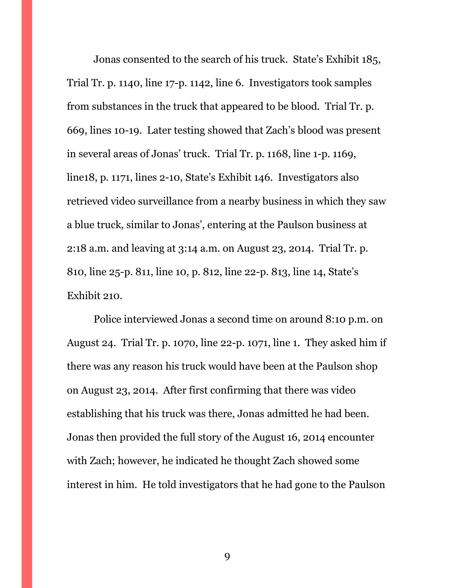Jonas consented to the search of his truck. State's Exhibit 185, Trial Tr. p. 1140, line 17-p. 1142, line 6. Investigators took samples from substances in the truck that appeared to be blood. Trial Tr. p. 669, lines 10-19. Later testing showed that Zach's blood was present in several areas of Jonas' truck. Trial Tr. p. 1168, line 1-p. 1169, line18, p. 1171, lines 2-10, State's Exhibit 146. Investigators also retrieved video surveillance from a nearby business in which they saw a blue truck, similar to Jonas', entering at the Paulson business at 2:18 a.m. and leaving at 3:14 a.m. on August 23, 2014. Trial Tr. p. 810, line 25-p. 811, line 10, p. 812, line 22-p. 813, line 14, State's Exhibit 210.

Police interviewed Jonas a second time on around 8:10 p.m. on August 24. Trial Tr. p. 1070, line 22-p. 1071, line 1. They asked him if there was any reason his truck would have been at the Paulson shop on August 23, 2014. After first confirming that there was video establishing that his truck was there, Jonas admitted he had been. Jonas then provided the full story of the August 16, 2014 encounter with Zach; however, he indicated he thought Zach showed some interest in him. He told investigators that he had gone to the Paulson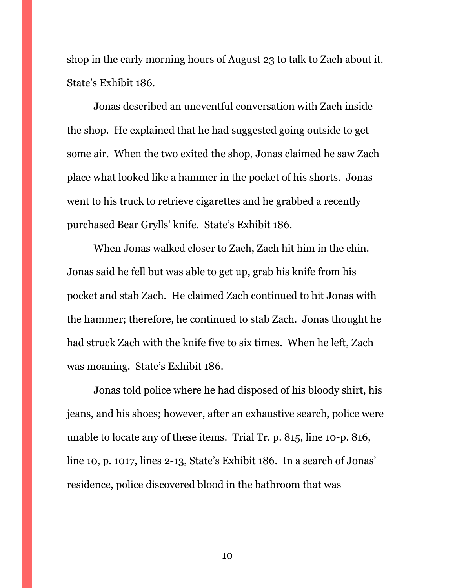shop in the early morning hours of August 23 to talk to Zach about it. State's Exhibit 186.

Jonas described an uneventful conversation with Zach inside the shop. He explained that he had suggested going outside to get some air. When the two exited the shop, Jonas claimed he saw Zach place what looked like a hammer in the pocket of his shorts. Jonas went to his truck to retrieve cigarettes and he grabbed a recently purchased Bear Grylls' knife. State's Exhibit 186.

When Jonas walked closer to Zach, Zach hit him in the chin. Jonas said he fell but was able to get up, grab his knife from his pocket and stab Zach. He claimed Zach continued to hit Jonas with the hammer; therefore, he continued to stab Zach. Jonas thought he had struck Zach with the knife five to six times. When he left, Zach was moaning. State's Exhibit 186.

Jonas told police where he had disposed of his bloody shirt, his jeans, and his shoes; however, after an exhaustive search, police were unable to locate any of these items. Trial Tr. p. 815, line 10-p. 816, line 10, p. 1017, lines 2-13, State's Exhibit 186. In a search of Jonas' residence, police discovered blood in the bathroom that was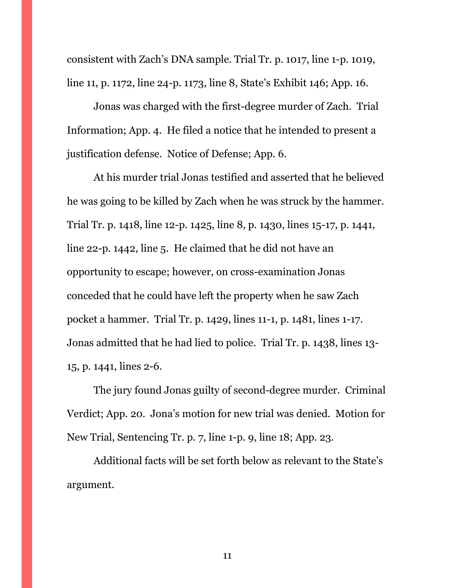consistent with Zach's DNA sample. Trial Tr. p. 1017, line 1-p. 1019, line 11, p. 1172, line 24-p. 1173, line 8, State's Exhibit 146; App. 16.

Jonas was charged with the first-degree murder of Zach. Trial Information; App. 4. He filed a notice that he intended to present a justification defense. Notice of Defense; App. 6.

At his murder trial Jonas testified and asserted that he believed he was going to be killed by Zach when he was struck by the hammer. Trial Tr. p. 1418, line 12-p. 1425, line 8, p. 1430, lines 15-17, p. 1441, line 22-p. 1442, line 5. He claimed that he did not have an opportunity to escape; however, on cross-examination Jonas conceded that he could have left the property when he saw Zach pocket a hammer. Trial Tr. p. 1429, lines 11-1, p. 1481, lines 1-17. Jonas admitted that he had lied to police. Trial Tr. p. 1438, lines 13- 15, p. 1441, lines 2-6.

The jury found Jonas guilty of second-degree murder. Criminal Verdict; App. 20. Jona's motion for new trial was denied. Motion for New Trial, Sentencing Tr. p. 7, line 1-p. 9, line 18; App. 23.

Additional facts will be set forth below as relevant to the State's argument.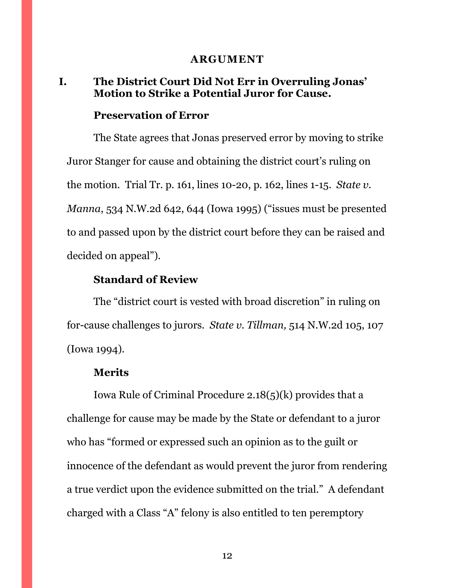#### **ARGUMENT**

### <span id="page-18-1"></span><span id="page-18-0"></span>**I. The District Court Did Not Err in Overruling Jonas' Motion to Strike a Potential Juror for Cause.**

#### **Preservation of Error**

The State agrees that Jonas preserved error by moving to strike Juror Stanger for cause and obtaining the district court's ruling on the motion. Trial Tr. p. 161, lines 10-20, p. 162, lines 1-15. *State v. Manna*, 534 N.W.2d 642, 644 (Iowa 1995) ("issues must be presented to and passed upon by the district court before they can be raised and decided on appeal").

### **Standard of Review**

The "district court is vested with broad discretion" in ruling on for-cause challenges to jurors. *State v. Tillman,* 514 N.W.2d 105, 107 (Iowa 1994).

### **Merits**

Iowa Rule of Criminal Procedure 2.18(5)(k) provides that a challenge for cause may be made by the State or defendant to a juror who has "formed or expressed such an opinion as to the guilt or innocence of the defendant as would prevent the juror from rendering a true verdict upon the evidence submitted on the trial." A defendant charged with a Class "A" felony is also entitled to ten peremptory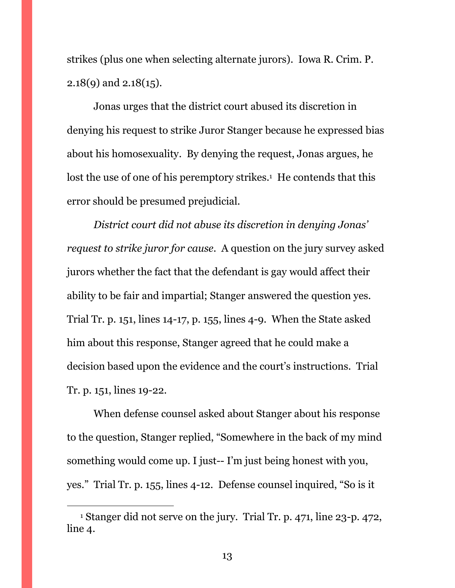strikes (plus one when selecting alternate jurors). Iowa R. Crim. P. 2.18(9) and 2.18(15).

Jonas urges that the district court abused its discretion in denying his request to strike Juror Stanger because he expressed bias about his homosexuality. By denying the request, Jonas argues, he lost the use of one of his peremptory strikes.<sup>1</sup> He contends that this error should be presumed prejudicial.

*District court did not abuse its discretion in denying Jonas' request to strike juror for cause.* A question on the jury survey asked jurors whether the fact that the defendant is gay would affect their ability to be fair and impartial; Stanger answered the question yes. Trial Tr. p. 151, lines 14-17, p. 155, lines 4-9. When the State asked him about this response, Stanger agreed that he could make a decision based upon the evidence and the court's instructions. Trial Tr. p. 151, lines 19-22.

When defense counsel asked about Stanger about his response to the question, Stanger replied, "Somewhere in the back of my mind something would come up. I just-- I'm just being honest with you, yes." Trial Tr. p. 155, lines 4-12. Defense counsel inquired, "So is it

 $\overline{a}$ 

<sup>1</sup> Stanger did not serve on the jury. Trial Tr. p. 471, line 23-p. 472, line 4.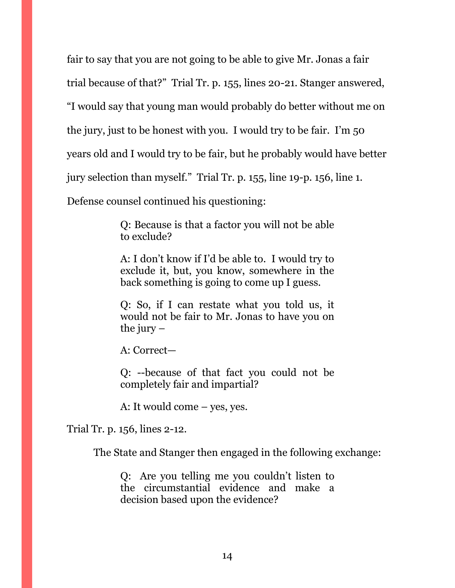fair to say that you are not going to be able to give Mr. Jonas a fair trial because of that?" Trial Tr. p. 155, lines 20-21. Stanger answered, "I would say that young man would probably do better without me on the jury, just to be honest with you. I would try to be fair. I'm 50 years old and I would try to be fair, but he probably would have better jury selection than myself." Trial Tr. p. 155, line 19-p. 156, line 1.

Defense counsel continued his questioning:

Q: Because is that a factor you will not be able to exclude?

A: I don't know if I'd be able to. I would try to exclude it, but, you know, somewhere in the back something is going to come up I guess.

Q: So, if I can restate what you told us, it would not be fair to Mr. Jonas to have you on the jury  $-$ 

A: Correct—

Q: --because of that fact you could not be completely fair and impartial?

A: It would come – yes, yes.

Trial Tr. p. 156, lines 2-12.

The State and Stanger then engaged in the following exchange:

Q: Are you telling me you couldn't listen to the circumstantial evidence and make a decision based upon the evidence?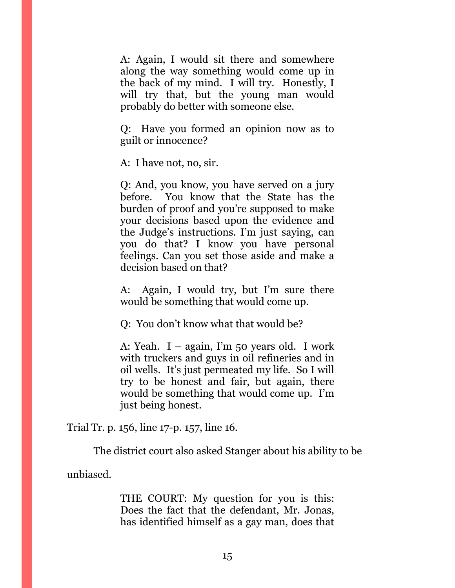A: Again, I would sit there and somewhere along the way something would come up in the back of my mind. I will try. Honestly, I will try that, but the young man would probably do better with someone else.

Q: Have you formed an opinion now as to guilt or innocence?

A: I have not, no, sir.

Q: And, you know, you have served on a jury before. You know that the State has the burden of proof and you're supposed to make your decisions based upon the evidence and the Judge's instructions. I'm just saying, can you do that? I know you have personal feelings. Can you set those aside and make a decision based on that?

A: Again, I would try, but I'm sure there would be something that would come up.

Q: You don't know what that would be?

A: Yeah. I – again, I'm 50 years old. I work with truckers and guys in oil refineries and in oil wells. It's just permeated my life. So I will try to be honest and fair, but again, there would be something that would come up. I'm just being honest.

Trial Tr. p. 156, line 17-p. 157, line 16.

The district court also asked Stanger about his ability to be

unbiased.

THE COURT: My question for you is this: Does the fact that the defendant, Mr. Jonas, has identified himself as a gay man, does that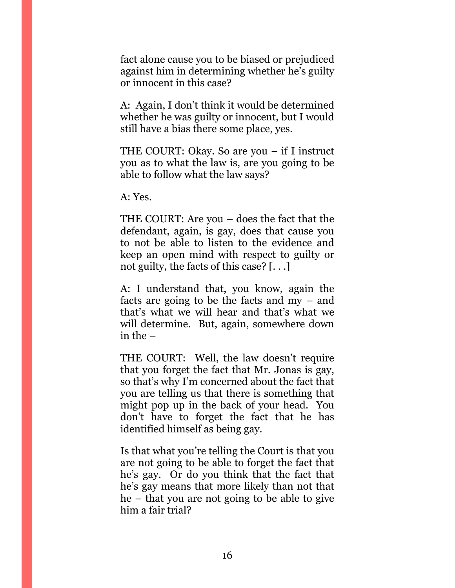fact alone cause you to be biased or prejudiced against him in determining whether he's guilty or innocent in this case?

A: Again, I don't think it would be determined whether he was guilty or innocent, but I would still have a bias there some place, yes.

THE COURT: Okay. So are you – if I instruct you as to what the law is, are you going to be able to follow what the law says?

A: Yes.

THE COURT: Are you – does the fact that the defendant, again, is gay, does that cause you to not be able to listen to the evidence and keep an open mind with respect to guilty or not guilty, the facts of this case? [. . .]

A: I understand that, you know, again the facts are going to be the facts and my – and that's what we will hear and that's what we will determine. But, again, somewhere down in the –

THE COURT: Well, the law doesn't require that you forget the fact that Mr. Jonas is gay, so that's why I'm concerned about the fact that you are telling us that there is something that might pop up in the back of your head. You don't have to forget the fact that he has identified himself as being gay.

Is that what you're telling the Court is that you are not going to be able to forget the fact that he's gay. Or do you think that the fact that he's gay means that more likely than not that he – that you are not going to be able to give him a fair trial?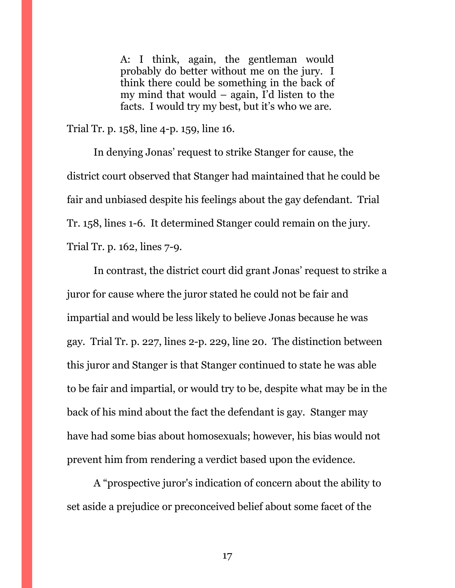A: I think, again, the gentleman would probably do better without me on the jury. I think there could be something in the back of my mind that would – again, I'd listen to the facts. I would try my best, but it's who we are.

Trial Tr. p. 158, line 4-p. 159, line 16.

In denying Jonas' request to strike Stanger for cause, the district court observed that Stanger had maintained that he could be fair and unbiased despite his feelings about the gay defendant. Trial Tr. 158, lines 1-6. It determined Stanger could remain on the jury. Trial Tr. p. 162, lines 7-9.

In contrast, the district court did grant Jonas' request to strike a juror for cause where the juror stated he could not be fair and impartial and would be less likely to believe Jonas because he was gay. Trial Tr. p. 227, lines 2-p. 229, line 20. The distinction between this juror and Stanger is that Stanger continued to state he was able to be fair and impartial, or would try to be, despite what may be in the back of his mind about the fact the defendant is gay. Stanger may have had some bias about homosexuals; however, his bias would not prevent him from rendering a verdict based upon the evidence.

A "prospective juror's indication of concern about the ability to set aside a prejudice or preconceived belief about some facet of the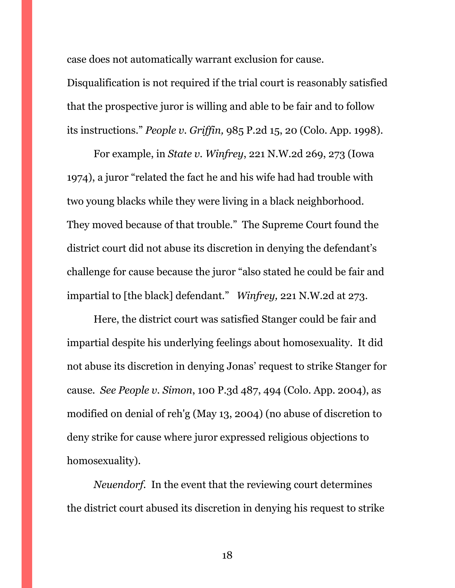case does not automatically warrant exclusion for cause.

Disqualification is not required if the trial court is reasonably satisfied that the prospective juror is willing and able to be fair and to follow its instructions." *People v. Griffin,* 985 P.2d 15, 20 (Colo. App. 1998).

For example, in *State v. Winfrey*, 221 N.W.2d 269, 273 (Iowa 1974), a juror "related the fact he and his wife had had trouble with two young blacks while they were living in a black neighborhood. They moved because of that trouble." The Supreme Court found the district court did not abuse its discretion in denying the defendant's challenge for cause because the juror "also stated he could be fair and impartial to [the black] defendant." *Winfrey,* 221 N.W.2d at 273.

Here, the district court was satisfied Stanger could be fair and impartial despite his underlying feelings about homosexuality. It did not abuse its discretion in denying Jonas' request to strike Stanger for cause. *See People v. Simon*, 100 P.3d 487, 494 (Colo. App. 2004), as modified on denial of reh'g (May 13, 2004) (no abuse of discretion to deny strike for cause where juror expressed religious objections to homosexuality).

*Neuendorf.* In the event that the reviewing court determines the district court abused its discretion in denying his request to strike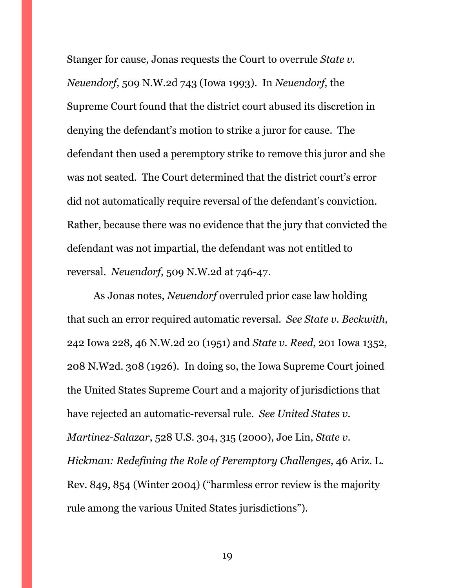Stanger for cause, Jonas requests the Court to overrule *State v. Neuendorf,* 509 N.W.2d 743 (Iowa 1993). In *Neuendorf,* the Supreme Court found that the district court abused its discretion in denying the defendant's motion to strike a juror for cause. The defendant then used a peremptory strike to remove this juror and she was not seated. The Court determined that the district court's error did not automatically require reversal of the defendant's conviction. Rather, because there was no evidence that the jury that convicted the defendant was not impartial, the defendant was not entitled to reversal. *Neuendorf*, 509 N.W.2d at 746-47.

As Jonas notes, *Neuendorf* overruled prior case law holding that such an error required automatic reversal. *See State v. Beckwith,* 242 Iowa 228, 46 N.W.2d 20 (1951) and *State v. Reed*, 201 Iowa 1352, 208 N.W2d. 308 (1926). In doing so, the Iowa Supreme Court joined the United States Supreme Court and a majority of jurisdictions that have rejected an automatic-reversal rule. *See United States v. Martinez-Salazar*, 528 U.S. 304, 315 (2000), Joe Lin, *State v. Hickman: Redefining the Role of Peremptory Challenges,* 46 Ariz. L. Rev. 849, 854 (Winter 2004) ("harmless error review is the majority rule among the various United States jurisdictions").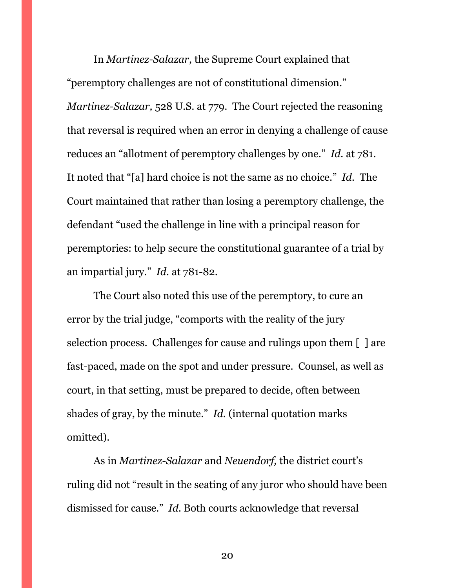In *Martinez-Salazar,* the Supreme Court explained that "peremptory challenges are not of constitutional dimension." *Martinez-Salazar,* 528 U.S. at 779. The Court rejected the reasoning that reversal is required when an error in denying a challenge of cause reduces an "allotment of peremptory challenges by one." *Id.* at 781. It noted that "[a] hard choice is not the same as no choice." *Id.* The Court maintained that rather than losing a peremptory challenge, the defendant "used the challenge in line with a principal reason for peremptories: to help secure the constitutional guarantee of a trial by an impartial jury." *Id.* at 781-82.

The Court also noted this use of the peremptory, to cure an error by the trial judge, "comports with the reality of the jury selection process. Challenges for cause and rulings upon them [ ] are fast-paced, made on the spot and under pressure. Counsel, as well as court, in that setting, must be prepared to decide, often between shades of gray, by the minute." *Id.* (internal quotation marks omitted).

As in *Martinez-Salazar* and *Neuendorf,* the district court's ruling did not "result in the seating of any juror who should have been dismissed for cause." *Id.* Both courts acknowledge that reversal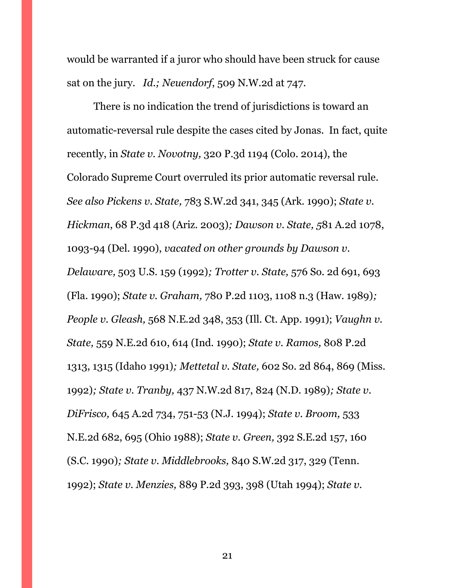would be warranted if a juror who should have been struck for cause sat on the jury. *Id.; Neuendorf*, 509 N.W.2d at 747.

There is no indication the trend of jurisdictions is toward an automatic-reversal rule despite the cases cited by Jonas. In fact, quite recently, in *State v. Novotny,* 320 P.3d 1194 (Colo. 2014), the Colorado Supreme Court overruled its prior automatic reversal rule. *See also Pickens v. State,* 783 S.W.2d 341, 345 (Ark. 1990); *State v. Hickman*, 68 P.3d 418 (Ariz. 2003)*; Dawson v. State, 5*81 A.2d 1078, 1093-94 (Del. 1990), *vacated on other grounds by Dawson v. Delaware,* 503 U.S. 159 (1992)*; Trotter v. State,* 576 So. 2d 691, 693 (Fla. 1990); *State v. Graham,* 780 P.2d 1103, 1108 n.3 (Haw. 1989)*; People v. Gleash,* 568 N.E.2d 348, 353 (Ill. Ct. App. 1991); *Vaughn v. State,* 559 N.E.2d 610, 614 (Ind. 1990); *State v. Ramos,* 808 P.2d 1313, 1315 (Idaho 1991)*; Mettetal v. State,* 602 So. 2d 864, 869 (Miss. 1992)*; State v. Tranby,* 437 N.W.2d 817, 824 (N.D. 1989)*; State v. DiFrisco,* 645 A.2d 734, 751-53 (N.J. 1994); *State v. Broom,* 533 N.E.2d 682, 695 (Ohio 1988); *State v. Green,* 392 S.E.2d 157, 160 (S.C. 1990)*; State v. Middlebrooks,* 840 S.W.2d 317, 329 (Tenn. 1992); *State v. Menzies,* 889 P.2d 393, 398 (Utah 1994); *State v.*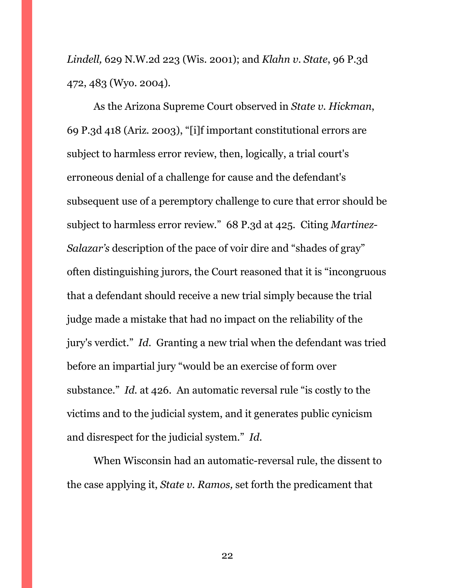*Lindell,* 629 N.W.2d 223 (Wis. 2001); and *Klahn v. State*, 96 P.3d 472, 483 (Wyo. 2004).

As the Arizona Supreme Court observed in *State v. Hickman*, 69 P.3d 418 (Ariz. 2003), "[i]f important constitutional errors are subject to harmless error review, then, logically, a trial court's erroneous denial of a challenge for cause and the defendant's subsequent use of a peremptory challenge to cure that error should be subject to harmless error review." 68 P.3d at 425. Citing *Martinez-Salazar's* description of the pace of voir dire and "shades of gray" often distinguishing jurors, the Court reasoned that it is "incongruous that a defendant should receive a new trial simply because the trial judge made a mistake that had no impact on the reliability of the jury's verdict." *Id*. Granting a new trial when the defendant was tried before an impartial jury "would be an exercise of form over substance." *Id.* at 426. An automatic reversal rule "is costly to the victims and to the judicial system, and it generates public cynicism and disrespect for the judicial system." *Id.* 

When Wisconsin had an automatic-reversal rule, the dissent to the case applying it, *State v. Ramos,* set forth the predicament that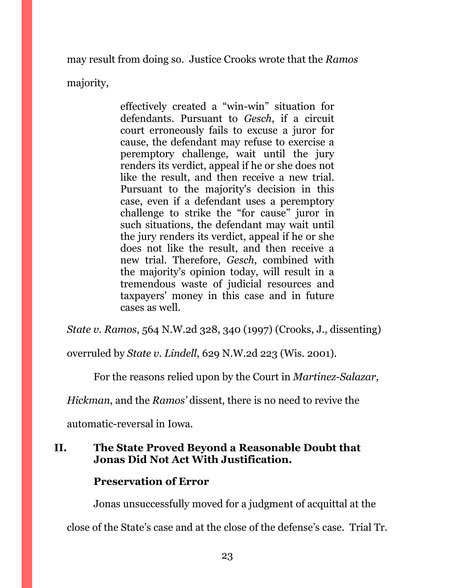may result from doing so. Justice Crooks wrote that the *Ramos*

majority,

effectively created a "win-win" situation for defendants. Pursuant to *Gesch*, if a circuit court erroneously fails to excuse a juror for cause, the defendant may refuse to exercise a peremptory challenge, wait until the jury renders its verdict, appeal if he or she does not like the result, and then receive a new trial. Pursuant to the majority's decision in this case, even if a defendant uses a peremptory challenge to strike the "for cause" juror in such situations, the defendant may wait until the jury renders its verdict, appeal if he or she does not like the result, and then receive a new trial. Therefore, *Gesch*, combined with the majority's opinion today, will result in a tremendous waste of judicial resources and taxpayers' money in this case and in future cases as well.

*State v. Ramos*, 564 N.W.2d 328, 340 (1997) (Crooks, J., dissenting)

overruled by *State v. Lindell*, 629 N.W.2d 223 (Wis. 2001).

For the reasons relied upon by the Court in *Martinez-Salazar,* 

*Hickman*, and the *Ramos'* dissent, there is no need to revive the

automatic-reversal in Iowa.

# <span id="page-29-0"></span>**II. The State Proved Beyond a Reasonable Doubt that Jonas Did Not Act With Justification.**

# **Preservation of Error**

Jonas unsuccessfully moved for a judgment of acquittal at the

close of the State's case and at the close of the defense's case. Trial Tr.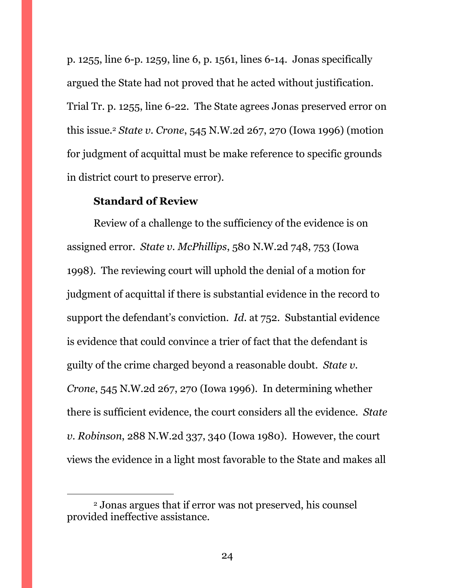p. 1255, line 6-p. 1259, line 6, p. 1561, lines 6-14. Jonas specifically argued the State had not proved that he acted without justification. Trial Tr. p. 1255, line 6-22. The State agrees Jonas preserved error on this issue.<sup>2</sup> *State v. Crone*, 545 N.W.2d 267, 270 (Iowa 1996) (motion for judgment of acquittal must be make reference to specific grounds in district court to preserve error).

### **Standard of Review**

 $\overline{a}$ 

Review of a challenge to the sufficiency of the evidence is on assigned error. *State v. McPhillips*, 580 N.W.2d 748, 753 (Iowa 1998). The reviewing court will uphold the denial of a motion for judgment of acquittal if there is substantial evidence in the record to support the defendant's conviction. *Id*. at 752. Substantial evidence is evidence that could convince a trier of fact that the defendant is guilty of the crime charged beyond a reasonable doubt. *State v. Crone*, 545 N.W.2d 267, 270 (Iowa 1996). In determining whether there is sufficient evidence, the court considers all the evidence. *State v. Robinson*, 288 N.W.2d 337, 340 (Iowa 1980). However, the court views the evidence in a light most favorable to the State and makes all

<sup>2</sup> Jonas argues that if error was not preserved, his counsel provided ineffective assistance.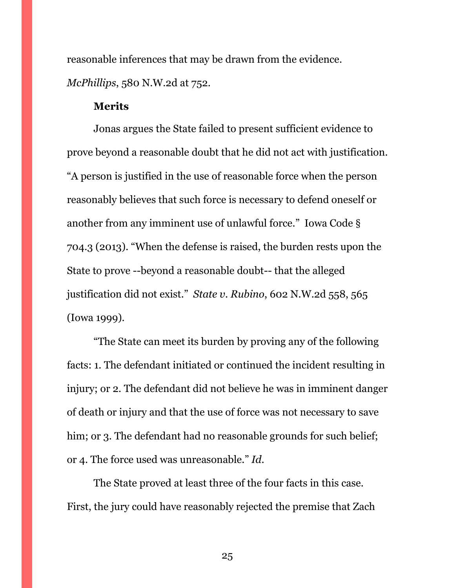reasonable inferences that may be drawn from the evidence. *McPhillips*, 580 N.W.2d at 752.

#### **Merits**

Jonas argues the State failed to present sufficient evidence to prove beyond a reasonable doubt that he did not act with justification. "A person is justified in the use of reasonable force when the person reasonably believes that such force is necessary to defend oneself or another from any imminent use of unlawful force." Iowa Code § 704.3 (2013). "When the defense is raised, the burden rests upon the State to prove --beyond a reasonable doubt-- that the alleged justification did not exist." *State v. Rubino*, 602 N.W.2d 558, 565 (Iowa 1999).

"The State can meet its burden by proving any of the following facts: 1. The defendant initiated or continued the incident resulting in injury; or 2. The defendant did not believe he was in imminent danger of death or injury and that the use of force was not necessary to save him; or 3. The defendant had no reasonable grounds for such belief; or 4. The force used was unreasonable." *Id.* 

The State proved at least three of the four facts in this case. First, the jury could have reasonably rejected the premise that Zach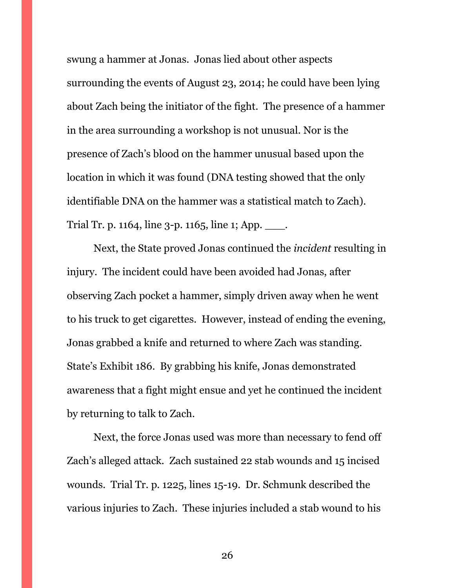swung a hammer at Jonas. Jonas lied about other aspects surrounding the events of August 23, 2014; he could have been lying about Zach being the initiator of the fight. The presence of a hammer in the area surrounding a workshop is not unusual. Nor is the presence of Zach's blood on the hammer unusual based upon the location in which it was found (DNA testing showed that the only identifiable DNA on the hammer was a statistical match to Zach). Trial Tr. p. 1164, line 3-p. 1165, line 1; App. \_\_\_\_.

Next, the State proved Jonas continued the *incident* resulting in injury. The incident could have been avoided had Jonas, after observing Zach pocket a hammer, simply driven away when he went to his truck to get cigarettes. However, instead of ending the evening, Jonas grabbed a knife and returned to where Zach was standing. State's Exhibit 186. By grabbing his knife, Jonas demonstrated awareness that a fight might ensue and yet he continued the incident by returning to talk to Zach.

Next, the force Jonas used was more than necessary to fend off Zach's alleged attack. Zach sustained 22 stab wounds and 15 incised wounds. Trial Tr. p. 1225, lines 15-19. Dr. Schmunk described the various injuries to Zach. These injuries included a stab wound to his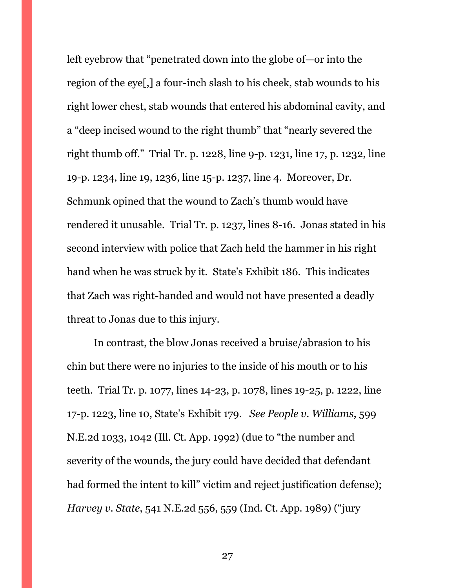left eyebrow that "penetrated down into the globe of—or into the region of the eye[,] a four-inch slash to his cheek, stab wounds to his right lower chest, stab wounds that entered his abdominal cavity, and a "deep incised wound to the right thumb" that "nearly severed the right thumb off." Trial Tr. p. 1228, line 9-p. 1231, line 17, p. 1232, line 19-p. 1234, line 19, 1236, line 15-p. 1237, line 4. Moreover, Dr. Schmunk opined that the wound to Zach's thumb would have rendered it unusable. Trial Tr. p. 1237, lines 8-16. Jonas stated in his second interview with police that Zach held the hammer in his right hand when he was struck by it. State's Exhibit 186. This indicates that Zach was right-handed and would not have presented a deadly threat to Jonas due to this injury.

In contrast, the blow Jonas received a bruise/abrasion to his chin but there were no injuries to the inside of his mouth or to his teeth. Trial Tr. p. 1077, lines 14-23, p. 1078, lines 19-25, p. 1222, line 17-p. 1223, line 10, State's Exhibit 179. *See People v. Williams*, 599 N.E.2d 1033, 1042 (Ill. Ct. App. 1992) (due to "the number and severity of the wounds, the jury could have decided that defendant had formed the intent to kill" victim and reject justification defense); *Harvey v. State*, 541 N.E.2d 556, 559 (Ind. Ct. App. 1989) ("jury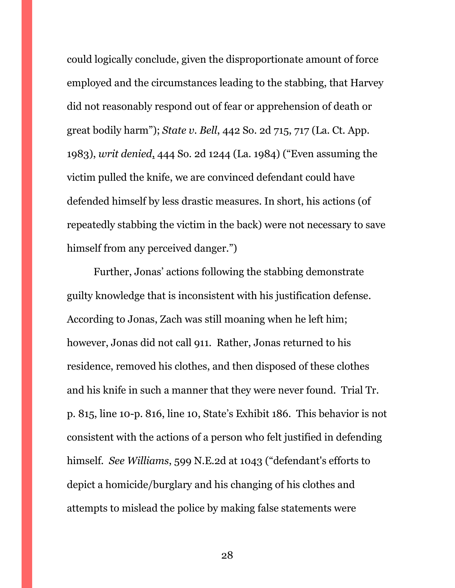could logically conclude, given the disproportionate amount of force employed and the circumstances leading to the stabbing, that Harvey did not reasonably respond out of fear or apprehension of death or great bodily harm"); *State v. Bell*, 442 So. 2d 715, 717 (La. Ct. App. 1983), *writ denied*, 444 So. 2d 1244 (La. 1984) ("Even assuming the victim pulled the knife, we are convinced defendant could have defended himself by less drastic measures. In short, his actions (of repeatedly stabbing the victim in the back) were not necessary to save himself from any perceived danger."

Further, Jonas' actions following the stabbing demonstrate guilty knowledge that is inconsistent with his justification defense. According to Jonas, Zach was still moaning when he left him; however, Jonas did not call 911. Rather, Jonas returned to his residence, removed his clothes, and then disposed of these clothes and his knife in such a manner that they were never found. Trial Tr. p. 815, line 10-p. 816, line 10, State's Exhibit 186. This behavior is not consistent with the actions of a person who felt justified in defending himself. *See Williams*, 599 N.E.2d at 1043 ("defendant's efforts to depict a homicide/burglary and his changing of his clothes and attempts to mislead the police by making false statements were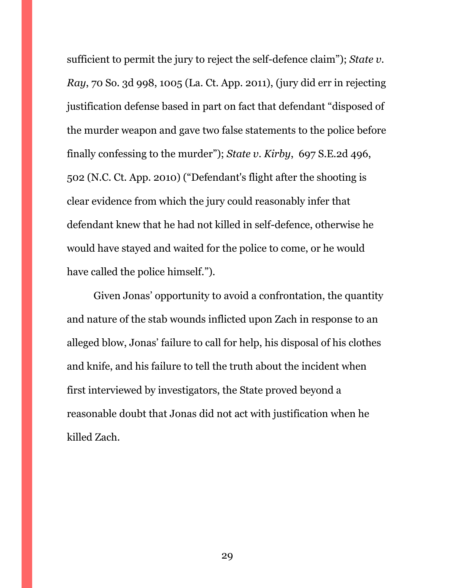sufficient to permit the jury to reject the self-defence claim"); *State v. Ray*, 70 So. 3d 998, 1005 (La. Ct. App. 2011), (jury did err in rejecting justification defense based in part on fact that defendant "disposed of the murder weapon and gave two false statements to the police before finally confessing to the murder"); *State v. Kirby*, 697 S.E.2d 496, 502 (N.C. Ct. App. 2010) ("Defendant's flight after the shooting is clear evidence from which the jury could reasonably infer that defendant knew that he had not killed in self-defence, otherwise he would have stayed and waited for the police to come, or he would have called the police himself.").

Given Jonas' opportunity to avoid a confrontation, the quantity and nature of the stab wounds inflicted upon Zach in response to an alleged blow, Jonas' failure to call for help, his disposal of his clothes and knife, and his failure to tell the truth about the incident when first interviewed by investigators, the State proved beyond a reasonable doubt that Jonas did not act with justification when he killed Zach.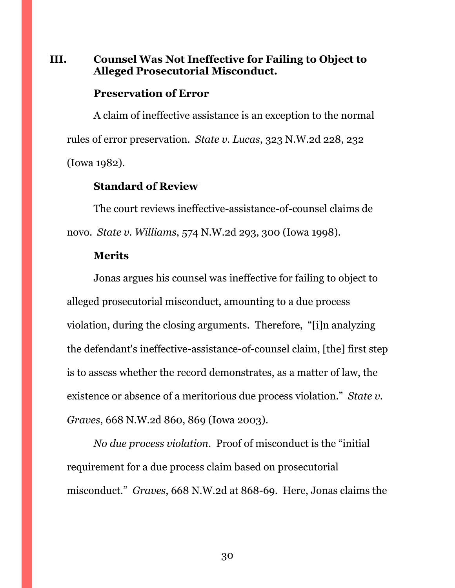### <span id="page-36-0"></span>**III. Counsel Was Not Ineffective for Failing to Object to Alleged Prosecutorial Misconduct.**

#### **Preservation of Error**

A claim of ineffective assistance is an exception to the normal rules of error preservation. *State v. Lucas*, 323 N.W.2d 228, 232 (Iowa 1982).

### **Standard of Review**

The court reviews ineffective-assistance-of-counsel claims de novo. *State v. Williams*, 574 N.W.2d 293, 300 (Iowa 1998).

#### **Merits**

Jonas argues his counsel was ineffective for failing to object to alleged prosecutorial misconduct, amounting to a due process violation, during the closing arguments. Therefore, "[i]n analyzing the defendant's ineffective-assistance-of-counsel claim, [the] first step is to assess whether the record demonstrates, as a matter of law, the existence or absence of a meritorious due process violation." *State v. Graves*, 668 N.W.2d 860, 869 (Iowa 2003).

*No due process violation*. Proof of misconduct is the "initial requirement for a due process claim based on prosecutorial misconduct." *Graves*, 668 N.W.2d at 868-69. Here, Jonas claims the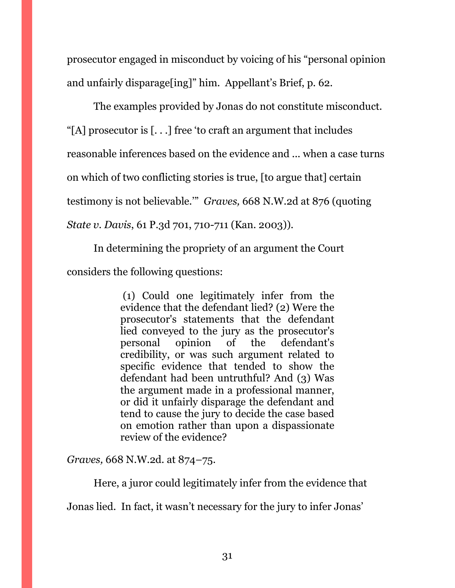prosecutor engaged in misconduct by voicing of his "personal opinion and unfairly disparage[ing]" him. Appellant's Brief, p. 62.

The examples provided by Jonas do not constitute misconduct. "[A] prosecutor is  $[...]$  free 'to craft an argument that includes reasonable inferences based on the evidence and ... when a case turns on which of two conflicting stories is true, [to argue that] certain testimony is not believable.'" *Graves,* 668 N.W.2d at 876 (quoting *State v. Davis*, 61 P.3d 701, 710-711 (Kan. 2003)).

In determining the propriety of an argument the Court considers the following questions:

> (1) Could one legitimately infer from the evidence that the defendant lied? (2) Were the prosecutor's statements that the defendant lied conveyed to the jury as the prosecutor's personal opinion of the defendant's credibility, or was such argument related to specific evidence that tended to show the defendant had been untruthful? And (3) Was the argument made in a professional manner, or did it unfairly disparage the defendant and tend to cause the jury to decide the case based on emotion rather than upon a dispassionate review of the evidence?

*Graves,* 668 N.W.2d. at 874–75.

Here, a juror could legitimately infer from the evidence that

Jonas lied. In fact, it wasn't necessary for the jury to infer Jonas'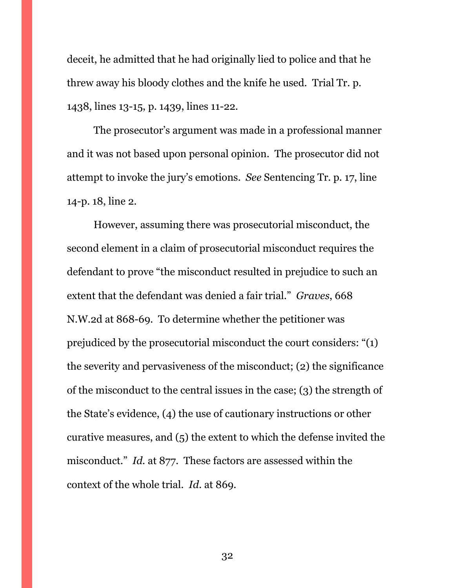deceit, he admitted that he had originally lied to police and that he threw away his bloody clothes and the knife he used. Trial Tr. p. 1438, lines 13-15, p. 1439, lines 11-22.

The prosecutor's argument was made in a professional manner and it was not based upon personal opinion. The prosecutor did not attempt to invoke the jury's emotions. *See* Sentencing Tr. p. 17, line 14-p. 18, line 2.

However, assuming there was prosecutorial misconduct, the second element in a claim of prosecutorial misconduct requires the defendant to prove "the misconduct resulted in prejudice to such an extent that the defendant was denied a fair trial." *Graves*, 668 N.W.2d at 868-69. To determine whether the petitioner was prejudiced by the prosecutorial misconduct the court considers: "(1) the severity and pervasiveness of the misconduct; (2) the significance of the misconduct to the central issues in the case; (3) the strength of the State's evidence, (4) the use of cautionary instructions or other curative measures, and (5) the extent to which the defense invited the misconduct." *Id.* at 877. These factors are assessed within the context of the whole trial. *Id*. at 869.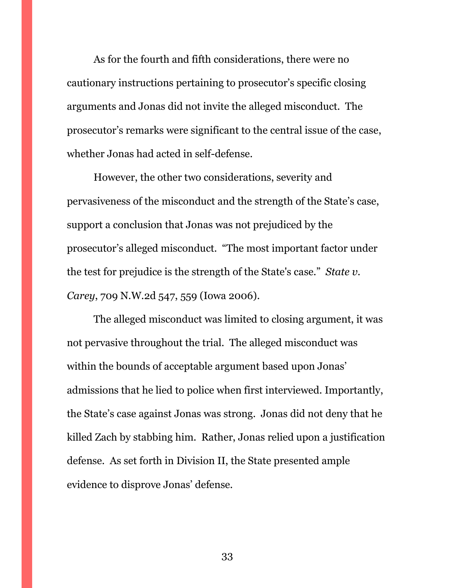As for the fourth and fifth considerations, there were no cautionary instructions pertaining to prosecutor's specific closing arguments and Jonas did not invite the alleged misconduct. The prosecutor's remarks were significant to the central issue of the case, whether Jonas had acted in self-defense.

However, the other two considerations, severity and pervasiveness of the misconduct and the strength of the State's case, support a conclusion that Jonas was not prejudiced by the prosecutor's alleged misconduct. "The most important factor under the test for prejudice is the strength of the State's case." *State v. Carey*, 709 N.W.2d 547, 559 (Iowa 2006).

The alleged misconduct was limited to closing argument, it was not pervasive throughout the trial. The alleged misconduct was within the bounds of acceptable argument based upon Jonas' admissions that he lied to police when first interviewed. Importantly, the State's case against Jonas was strong. Jonas did not deny that he killed Zach by stabbing him. Rather, Jonas relied upon a justification defense. As set forth in Division II, the State presented ample evidence to disprove Jonas' defense.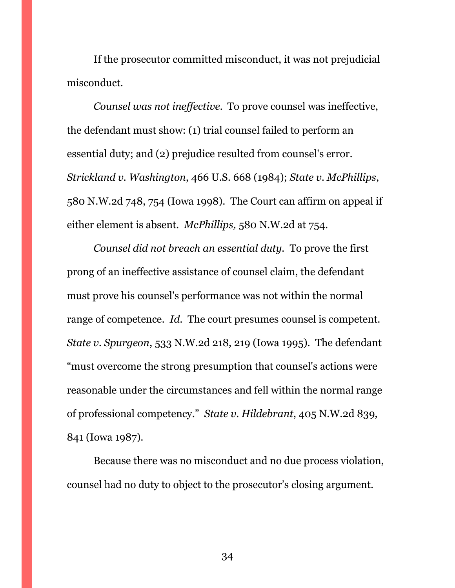If the prosecutor committed misconduct, it was not prejudicial misconduct.

*Counsel was not ineffective.* To prove counsel was ineffective, the defendant must show: (1) trial counsel failed to perform an essential duty; and (2) prejudice resulted from counsel's error. *Strickland v. Washington*, 466 U.S. 668 (1984); *State v. McPhillips*, 580 N.W.2d 748, 754 (Iowa 1998). The Court can affirm on appeal if either element is absent. *McPhillips,* 580 N.W.2d at 754.

*Counsel did not breach an essential duty.* To prove the first prong of an ineffective assistance of counsel claim, the defendant must prove his counsel's performance was not within the normal range of competence. *Id*. The court presumes counsel is competent. *State v. Spurgeon*, 533 N.W.2d 218, 219 (Iowa 1995). The defendant "must overcome the strong presumption that counsel's actions were reasonable under the circumstances and fell within the normal range of professional competency." *State v. Hildebrant*, 405 N.W.2d 839, 841 (Iowa 1987).

Because there was no misconduct and no due process violation, counsel had no duty to object to the prosecutor's closing argument.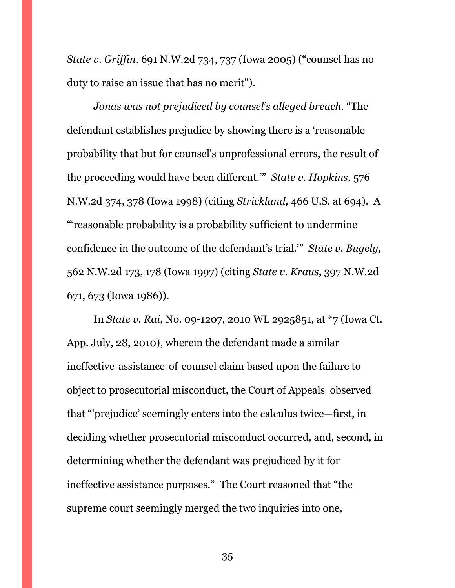*State v. Griffin,* 691 N.W.2d 734, 737 (Iowa 2005) ("counsel has no duty to raise an issue that has no merit").

*Jonas was not prejudiced by counsel's alleged breach.* "The defendant establishes prejudice by showing there is a 'reasonable probability that but for counsel's unprofessional errors, the result of the proceeding would have been different.'" *State v. Hopkins,* 576 N.W.2d 374, 378 (Iowa 1998) (citing *Strickland,* 466 U.S. at 694). A "'reasonable probability is a probability sufficient to undermine confidence in the outcome of the defendant's trial.'" *State v. Bugely*, 562 N.W.2d 173, 178 (Iowa 1997) (citing *State v. Kraus*, 397 N.W.2d 671, 673 (Iowa 1986)).

In *State v. Rai,* No. 09-1207, 2010 WL 2925851, at \*7 (Iowa Ct. App. July, 28, 2010), wherein the defendant made a similar ineffective-assistance-of-counsel claim based upon the failure to object to prosecutorial misconduct, the Court of Appeals observed that "'prejudice' seemingly enters into the calculus twice—first, in deciding whether prosecutorial misconduct occurred, and, second, in determining whether the defendant was prejudiced by it for ineffective assistance purposes." The Court reasoned that "the supreme court seemingly merged the two inquiries into one,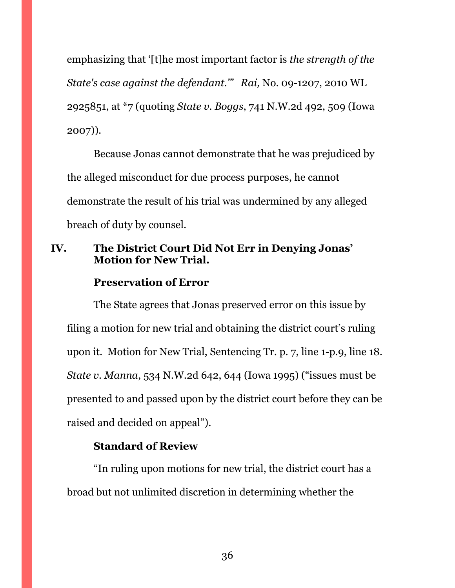emphasizing that '[t]he most important factor is *the strength of the State's case against the defendant.'" Rai,* No. 09-1207, 2010 WL 2925851, at \*7 (quoting *State v. Boggs*, 741 N.W.2d 492, 509 (Iowa 2007)).

Because Jonas cannot demonstrate that he was prejudiced by the alleged misconduct for due process purposes, he cannot demonstrate the result of his trial was undermined by any alleged breach of duty by counsel.

## <span id="page-42-0"></span>**IV. The District Court Did Not Err in Denying Jonas' Motion for New Trial.**

### **Preservation of Error**

The State agrees that Jonas preserved error on this issue by filing a motion for new trial and obtaining the district court's ruling upon it. Motion for New Trial, Sentencing Tr. p. 7, line 1-p.9, line 18. *State v. Manna*, 534 N.W.2d 642, 644 (Iowa 1995) ("issues must be presented to and passed upon by the district court before they can be raised and decided on appeal").

### **Standard of Review**

"In ruling upon motions for new trial, the district court has a broad but not unlimited discretion in determining whether the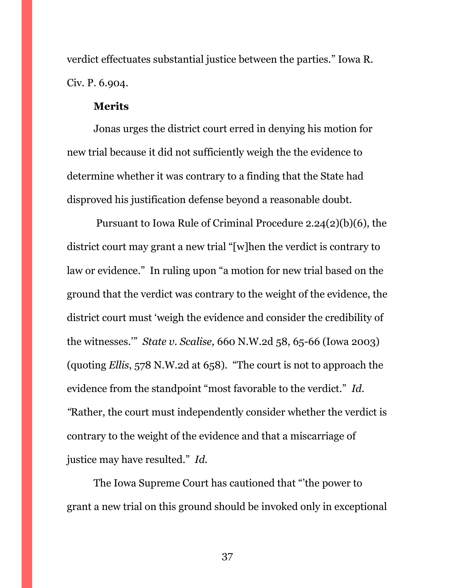verdict effectuates substantial justice between the parties." Iowa R. Civ. P. 6.904.

#### **Merits**

Jonas urges the district court erred in denying his motion for new trial because it did not sufficiently weigh the the evidence to determine whether it was contrary to a finding that the State had disproved his justification defense beyond a reasonable doubt.

Pursuant to Iowa Rule of Criminal Procedure 2.24(2)(b)(6), the district court may grant a new trial "[w]hen the verdict is contrary to law or evidence." In ruling upon "a motion for new trial based on the ground that the verdict was contrary to the weight of the evidence, the district court must 'weigh the evidence and consider the credibility of the witnesses.'" *State v. Scalise,* 660 N.W.2d 58, 65-66 (Iowa 2003) (quoting *Ellis*, 578 N.W.2d at 658). "The court is not to approach the evidence from the standpoint "most favorable to the verdict." *Id. "*Rather, the court must independently consider whether the verdict is contrary to the weight of the evidence and that a miscarriage of justice may have resulted." *Id.* 

The Iowa Supreme Court has cautioned that "'the power to grant a new trial on this ground should be invoked only in exceptional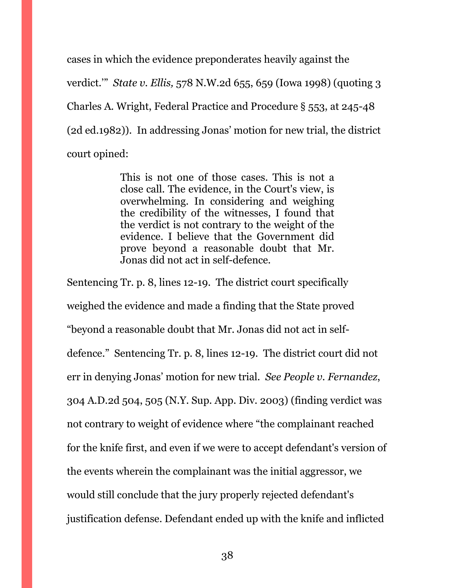cases in which the evidence preponderates heavily against the verdict.'" *State v. Ellis,* 578 N.W.2d 655, 659 (Iowa 1998) (quoting 3 Charles A. Wright, Federal Practice and Procedure § 553, at 245-48 (2d ed.1982)). In addressing Jonas' motion for new trial, the district court opined:

> This is not one of those cases. This is not a close call. The evidence, in the Court's view, is overwhelming. In considering and weighing the credibility of the witnesses, I found that the verdict is not contrary to the weight of the evidence. I believe that the Government did prove beyond a reasonable doubt that Mr. Jonas did not act in self-defence.

Sentencing Tr. p. 8, lines 12-19. The district court specifically weighed the evidence and made a finding that the State proved "beyond a reasonable doubt that Mr. Jonas did not act in selfdefence." Sentencing Tr. p. 8, lines 12-19. The district court did not err in denying Jonas' motion for new trial. *See People v. Fernandez*, 304 A.D.2d 504, 505 (N.Y. Sup. App. Div. 2003) (finding verdict was not contrary to weight of evidence where "the complainant reached for the knife first, and even if we were to accept defendant's version of the events wherein the complainant was the initial aggressor, we would still conclude that the jury properly rejected defendant's justification defense. Defendant ended up with the knife and inflicted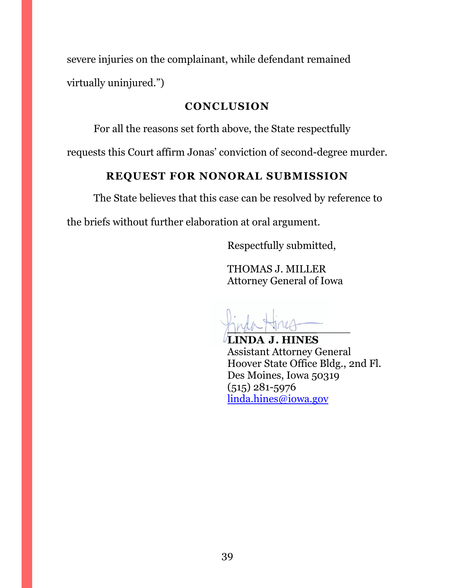severe injuries on the complainant, while defendant remained virtually uninjured.")

### **CONCLUSION**

<span id="page-45-0"></span>For all the reasons set forth above, the State respectfully

<span id="page-45-1"></span>requests this Court affirm Jonas' conviction of second-degree murder.

# **REQUEST FOR NONORAL SUBMISSION**

The State believes that this case can be resolved by reference to

the briefs without further elaboration at oral argument.

Respectfully submitted,

THOMAS J. MILLER Attorney General of Iowa

 $M^{\mu\nu}$ 

**LINDA J. HINES** Assistant Attorney General Hoover State Office Bldg., 2nd Fl. Des Moines, Iowa 50319 (515) 281-5976 [linda.hines@iowa.gov](mailto:linda.hines@iowa.gov)